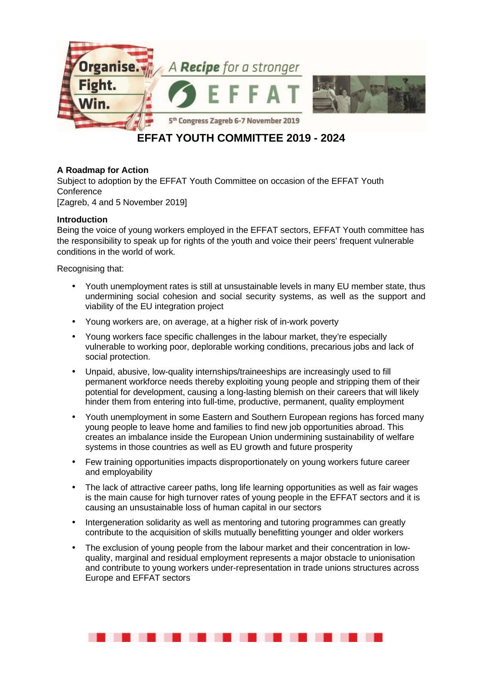

# **EFFAT YOUTH COMMITTEE 2019 - 2024**

## **A Roadmap for Action**

Subject to adoption by the EFFAT Youth Committee on occasion of the EFFAT Youth **Conference** [Zagreb, 4 and 5 November 2019]

**Introduction** 

Being the voice of young workers employed in the EFFAT sectors, EFFAT Youth committee has the responsibility to speak up for rights of the youth and voice their peers' frequent vulnerable conditions in the world of work.

Recognising that:

- Youth unemployment rates is still at unsustainable levels in many EU member state, thus undermining social cohesion and social security systems, as well as the support and viability of the EU integration project
- Young workers are, on average, at a higher risk of in-work poverty
- Young workers face specific challenges in the labour market, they're especially vulnerable to working poor, deplorable working conditions, precarious jobs and lack of social protection.
- Unpaid, abusive, low-quality internships/traineeships are increasingly used to fill permanent workforce needs thereby exploiting young people and stripping them of their potential for development, causing a long-lasting blemish on their careers that will likely hinder them from entering into full-time, productive, permanent, quality employment
- Youth unemployment in some Eastern and Southern European regions has forced many young people to leave home and families to find new job opportunities abroad. This creates an imbalance inside the European Union undermining sustainability of welfare systems in those countries as well as EU growth and future prosperity
- Few training opportunities impacts disproportionately on young workers future career and employability
- The lack of attractive career paths, long life learning opportunities as well as fair wages is the main cause for high turnover rates of young people in the EFFAT sectors and it is causing an unsustainable loss of human capital in our sectors
- Intergeneration solidarity as well as mentoring and tutoring programmes can greatly contribute to the acquisition of skills mutually benefitting younger and older workers
- The exclusion of young people from the labour market and their concentration in lowquality, marginal and residual employment represents a major obstacle to unionisation and contribute to young workers under-representation in trade unions structures across Europe and EFFAT sectors

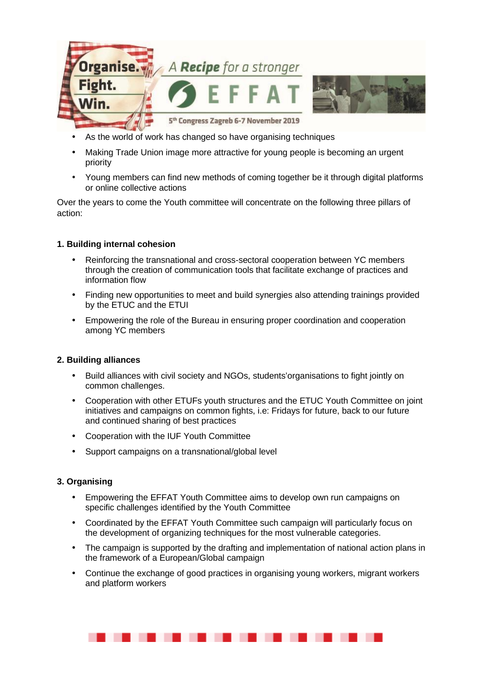

- As the world of work has changed so have organising techniques
- Making Trade Union image more attractive for young people is becoming an urgent priority
- Young members can find new methods of coming together be it through digital platforms or online collective actions

Over the years to come the Youth committee will concentrate on the following three pillars of action:

### **1. Building internal cohesion**

- Reinforcing the transnational and cross-sectoral cooperation between YC members through the creation of communication tools that facilitate exchange of practices and information flow
- Finding new opportunities to meet and build synergies also attending trainings provided by the ETUC and the ETUI
- Empowering the role of the Bureau in ensuring proper coordination and cooperation among YC members

#### **2. Building alliances**

- Build alliances with civil society and NGOs, students'organisations to fight jointly on common challenges.
- Cooperation with other ETUFs youth structures and the ETUC Youth Committee on joint initiatives and campaigns on common fights, i.e: Fridays for future, back to our future and continued sharing of best practices
- Cooperation with the IUF Youth Committee
- Support campaigns on a transnational/global level

## **3. Organising**

- Empowering the EFFAT Youth Committee aims to develop own run campaigns on specific challenges identified by the Youth Committee
- Coordinated by the EFFAT Youth Committee such campaign will particularly focus on the development of organizing techniques for the most vulnerable categories.
- The campaign is supported by the drafting and implementation of national action plans in the framework of a European/Global campaign
- Continue the exchange of good practices in organising young workers, migrant workers and platform workers